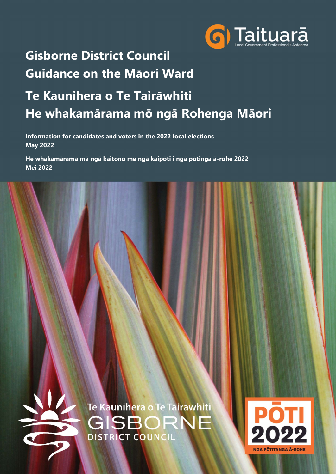

# Gisborne District Council Guidance on the Māori Ward

# Te Kaunihera o Te Tairāwhiti He whakamārama mō ngā Rohenga Māori

Information for candidates and voters in the 2022 local elections May 2022

He whakamārama mā ngā kaitono me ngā kaipōti i ngā pōtinga ā-rohe 2022 Mei 2022

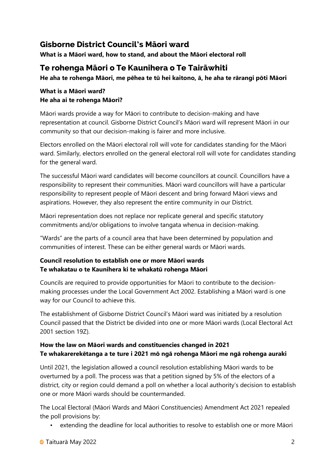## Gisborne District Council's Māori ward

What is a Māori ward, how to stand, and about the Māori electoral roll

## Te rohenga Māori o Te Kaunihera o Te Tairāwhiti

He aha te rohenga Māori, me pēhea te tū hei kaitono, ā, he aha te rārangi pōti Māori

#### What is a Māori ward? He aha ai te rohenga Māori?

Māori wards provide a way for Māori to contribute to decision-making and have representation at council. Gisborne District Council's Māori ward will represent Māori in our community so that our decision-making is fairer and more inclusive.

Electors enrolled on the Māori electoral roll will vote for candidates standing for the Māori ward. Similarly, electors enrolled on the general electoral roll will vote for candidates standing for the general ward.

The successful Māori ward candidates will become councillors at council. Councillors have a responsibility to represent their communities. Māori ward councillors will have a particular responsibility to represent people of Māori descent and bring forward Māori views and aspirations. However, they also represent the entire community in our District.

Māori representation does not replace nor replicate general and specific statutory commitments and/or obligations to involve tangata whenua in decision-making.

"Wards" are the parts of a council area that have been determined by population and communities of interest. These can be either general wards or Māori wards.

#### Council resolution to establish one or more Māori wards Te whakatau o te Kaunihera ki te whakatū rohenga Māori

Councils are required to provide opportunities for Māori to contribute to the decisionmaking processes under the Local Government Act 2002. Establishing a Māori ward is one way for our Council to achieve this.

The establishment of Gisborne District Council's Māori ward was initiated by a resolution Council passed that the District be divided into one or more Māori wards (Local Electoral Act 2001 section 19Z).

#### How the law on Māori wards and constituencies changed in 2021 Te whakarerekētanga a te ture i 2021 mō ngā rohenga Māori me ngā rohenga auraki

Until 2021, the legislation allowed a council resolution establishing Māori wards to be overturned by a poll. The process was that a petition signed by 5% of the electors of a district, city or region could demand a poll on whether a local authority's decision to establish one or more Māori wards should be countermanded.

The Local Electoral (Māori Wards and Māori Constituencies) Amendment Act 2021 repealed the poll provisions by:

• extending the deadline for local authorities to resolve to establish one or more Māori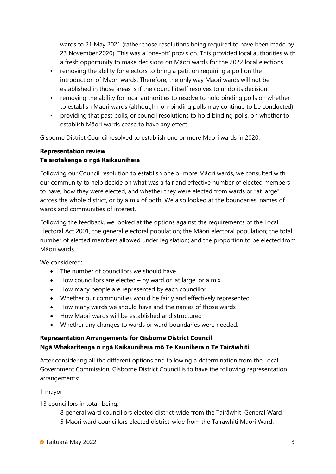wards to 21 May 2021 (rather those resolutions being required to have been made by 23 November 2020). This was a 'one-off' provision. This provided local authorities with a fresh opportunity to make decisions on Māori wards for the 2022 local elections

- removing the ability for electors to bring a petition requiring a poll on the introduction of Māori wards. Therefore, the only way Māori wards will not be established in those areas is if the council itself resolves to undo its decision
- removing the ability for local authorities to resolve to hold binding polls on whether to establish Māori wards (although non-binding polls may continue to be conducted)
- providing that past polls, or council resolutions to hold binding polls, on whether to establish Māori wards cease to have any effect.

Gisborne District Council resolved to establish one or more Māori wards in 2020.

#### Representation review

#### Te arotakenga o ngā Kaikaunihera

Following our Council resolution to establish one or more Māori wards, we consulted with our community to help decide on what was a fair and effective number of elected members to have, how they were elected, and whether they were elected from wards or "at large" across the whole district, or by a mix of both. We also looked at the boundaries, names of wards and communities of interest.

Following the feedback, we looked at the options against the requirements of the Local Electoral Act 2001, the general electoral population; the Māori electoral population; the total number of elected members allowed under legislation; and the proportion to be elected from Māori wards.

We considered:

- The number of councillors we should have
- $\bullet$  How councillors are elected by ward or 'at large' or a mix
- How many people are represented by each councillor
- Whether our communities would be fairly and effectively represented
- How many wards we should have and the names of those wards
- How Māori wards will be established and structured
- Whether any changes to wards or ward boundaries were needed.

#### Representation Arrangements for Gisborne District Council Ngā Whakaritenga o ngā Kaikaunihera mō Te Kaunihera o Te Tairāwhiti

After considering all the different options and following a determination from the Local Government Commission, Gisborne District Council is to have the following representation arrangements:

#### 1 mayor

13 councillors in total, being:

- 8 general ward councillors elected district-wide from the Tairāwhiti General Ward
- 5 Māori ward councillors elected district-wide from the Tairāwhiti Māori Ward.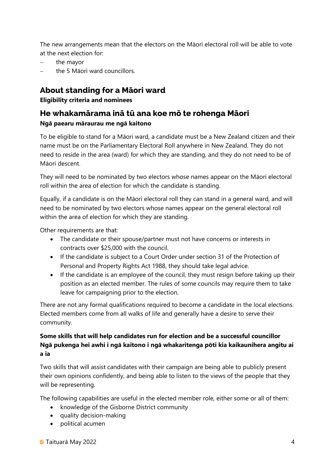The new arrangements mean that the electors on the Māori electoral roll will be able to vote at the next election for:

- the mayor
- the 5 Māori ward councillors.

## About standing for a Māori ward

#### Eligibility criteria and nominees

## He whakamārama inā tū ana koe mō te rohenga Māori Ngā paearu māraurau me ngā kaitono

To be eligible to stand for a Māori ward, a candidate must be a New Zealand citizen and their name must be on the Parliamentary Electoral Roll anywhere in New Zealand. They do not need to reside in the area (ward) for which they are standing, and they do not need to be of Māori descent.

They will need to be nominated by two electors whose names appear on the Māori electoral roll within the area of election for which the candidate is standing.

Equally, if a candidate is on the Māori electoral roll they can stand in a general ward, and will need to be nominated by two electors whose names appear on the general electoral roll within the area of election for which they are standing.

Other requirements are that:

- The candidate or their spouse/partner must not have concerns or interests in contracts over \$25,000 with the council.
- If the candidate is subject to a Court Order under section 31 of the Protection of Personal and Property Rights Act 1988, they should take legal advice.
- If the candidate is an employee of the council, they must resign before taking up their position as an elected member. The rules of some councils may require them to take leave for campaigning prior to the election.

There are not any formal qualifications required to become a candidate in the local elections. Elected members come from all walks of life and generally have a desire to serve their community.

#### Some skills that will help candidates run for election and be a successful councillor Ngā pukenga hei awhi i ngā kaitono i ngā whakaritenga pōti kia kaikaunihera angitu ai a ia

Two skills that will assist candidates with their campaign are being able to publicly present their own opinions confidently, and being able to listen to the views of the people that they will be representing.

The following capabilities are useful in the elected member role, either some or all of them:

- knowledge of the Gisborne District community
- quality decision-making
- political acumen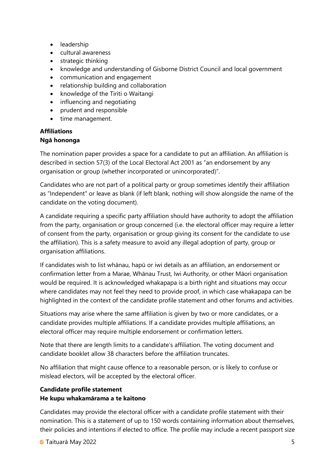- leadership
- cultural awareness
- strategic thinking
- knowledge and understanding of Gisborne District Council and local government
- communication and engagement
- relationship building and collaboration
- knowledge of the Tiriti o Waitangi
- influencing and negotiating
- prudent and responsible
- time management.

#### Affiliations

#### Ngā hononga

The nomination paper provides a space for a candidate to put an affiliation. An affiliation is described in section 57(3) of the Local Electoral Act 2001 as "an endorsement by any organisation or group (whether incorporated or unincorporated)".

Candidates who are not part of a political party or group sometimes identify their affiliation as "Independent" or leave as blank (if left blank, nothing will show alongside the name of the candidate on the voting document).

A candidate requiring a specific party affiliation should have authority to adopt the affiliation from the party, organisation or group concerned (i.e. the electoral officer may require a letter of consent from the party, organisation or group giving its consent for the candidate to use the affiliation). This is a safety measure to avoid any illegal adoption of party, group or organisation affiliations.

If candidates wish to list whānau, hapū or iwi details as an affiliation, an endorsement or confirmation letter from a Marae, Whānau Trust, Iwi Authority, or other Māori organisation would be required. It is acknowledged whakapapa is a birth right and situations may occur where candidates may not feel they need to provide proof, in which case whakapapa can be highlighted in the context of the candidate profile statement and other forums and activities.

Situations may arise where the same affiliation is given by two or more candidates, or a candidate provides multiple affiliations. If a candidate provides multiple affiliations, an electoral officer may require multiple endorsement or confirmation letters.

Note that there are length limits to a candidate's affiliation. The voting document and candidate booklet allow 38 characters before the affiliation truncates.

No affiliation that might cause offence to a reasonable person, or is likely to confuse or mislead electors, will be accepted by the electoral officer.

### Candidate profile statement He kupu whakamārama a te kaitono

Candidates may provide the electoral officer with a candidate profile statement with their nomination. This is a statement of up to 150 words containing information about themselves, their policies and intentions if elected to office. The profile may include a recent passport size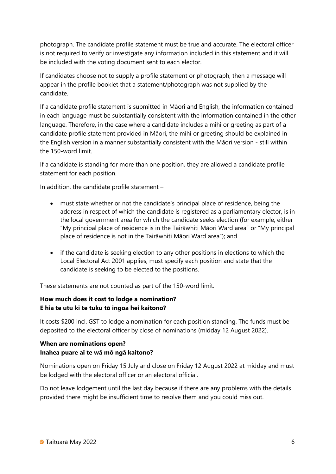photograph. The candidate profile statement must be true and accurate. The electoral officer is not required to verify or investigate any information included in this statement and it will be included with the voting document sent to each elector.

If candidates choose not to supply a profile statement or photograph, then a message will appear in the profile booklet that a statement/photograph was not supplied by the candidate.

If a candidate profile statement is submitted in Māori and English, the information contained in each language must be substantially consistent with the information contained in the other language. Therefore, in the case where a candidate includes a mihi or greeting as part of a candidate profile statement provided in Māori, the mihi or greeting should be explained in the English version in a manner substantially consistent with the Māori version - still within the 150-word limit.

If a candidate is standing for more than one position, they are allowed a candidate profile statement for each position.

In addition, the candidate profile statement –

- must state whether or not the candidate's principal place of residence, being the address in respect of which the candidate is registered as a parliamentary elector, is in the local government area for which the candidate seeks election (for example, either "My principal place of residence is in the Tairāwhiti Māori Ward area" or "My principal place of residence is not in the Tairāwhiti Māori Ward area"); and
- if the candidate is seeking election to any other positions in elections to which the Local Electoral Act 2001 applies, must specify each position and state that the candidate is seeking to be elected to the positions.

These statements are not counted as part of the 150-word limit.

#### How much does it cost to lodge a nomination? E hia te utu ki te tuku tō ingoa hei kaitono?

It costs \$200 incl. GST to lodge a nomination for each position standing. The funds must be deposited to the electoral officer by close of nominations (midday 12 August 2022).

#### When are nominations open? Inahea puare ai te wā mō ngā kaitono?

Nominations open on Friday 15 July and close on Friday 12 August 2022 at midday and must be lodged with the electoral officer or an electoral official.

Do not leave lodgement until the last day because if there are any problems with the details provided there might be insufficient time to resolve them and you could miss out.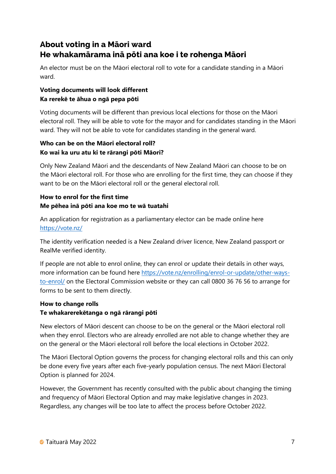## About voting in a Māori ward He whakamārama inā pōti ana koe i te rohenga Māori

An elector must be on the Māori electoral roll to vote for a candidate standing in a Māori ward.

#### Voting documents will look different Ka rerekē te āhua o ngā pepa pōti

Voting documents will be different than previous local elections for those on the Māori electoral roll. They will be able to vote for the mayor and for candidates standing in the Māori ward. They will not be able to vote for candidates standing in the general ward.

#### Who can be on the Māori electoral roll? Ko wai ka uru atu ki te rārangi pōti Māori?

Only New Zealand Māori and the descendants of New Zealand Māori can choose to be on the Māori electoral roll. For those who are enrolling for the first time, they can choose if they want to be on the Māori electoral roll or the general electoral roll.

#### How to enrol for the first time Me pēhea inā pōti ana koe mo te wā tuatahi

An application for registration as a parliamentary elector can be made online here https://vote.nz/

The identity verification needed is a New Zealand driver licence, New Zealand passport or RealMe verified identity.

If people are not able to enrol online, they can enrol or update their details in other ways, more information can be found here https://vote.nz/enrolling/enrol-or-update/other-waysto-enrol/ on the Electoral Commission website or they can call 0800 36 76 56 to arrange for forms to be sent to them directly.

#### How to change rolls Te whakarerekētanga o ngā rārangi pōti

New electors of Māori descent can choose to be on the general or the Māori electoral roll when they enrol. Electors who are already enrolled are not able to change whether they are on the general or the Māori electoral roll before the local elections in October 2022.

The Māori Electoral Option governs the process for changing electoral rolls and this can only be done every five years after each five-yearly population census. The next Māori Electoral Option is planned for 2024.

However, the Government has recently consulted with the public about changing the timing and frequency of Māori Electoral Option and may make legislative changes in 2023. Regardless, any changes will be too late to affect the process before October 2022.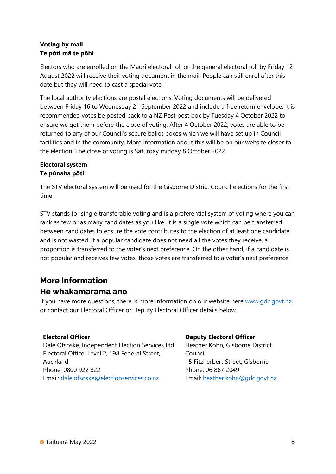#### Voting by mail Te pōti mā te pōhi

Electors who are enrolled on the Māori electoral roll or the general electoral roll by Friday 12 August 2022 will receive their voting document in the mail. People can still enrol after this date but they will need to cast a special vote.

The local authority elections are postal elections. Voting documents will be delivered between Friday 16 to Wednesday 21 September 2022 and include a free return envelope. It is recommended votes be posted back to a NZ Post post box by Tuesday 4 October 2022 to ensure we get them before the close of voting. After 4 October 2022, votes are able to be returned to any of our Council's secure ballot boxes which we will have set up in Council facilities and in the community. More information about this will be on our website closer to the election. The close of voting is Saturday midday 8 October 2022.

#### Electoral system Te pūnaha pōti

The STV electoral system will be used for the Gisborne District Council elections for the first time.

STV stands for single transferable voting and is a preferential system of voting where you can rank as few or as many candidates as you like. It is a single vote which can be transferred between candidates to ensure the vote contributes to the election of at least one candidate and is not wasted. If a popular candidate does not need all the votes they receive, a proportion is transferred to the voter's next preference. On the other hand, if a candidate is not popular and receives few votes, those votes are transferred to a voter's next preference.

## More Information He whakamārama anō

If you have more questions, there is more information on our website here www.gdc.govt.nz, or contact our Electoral Officer or Deputy Electoral Officer details below.

#### Electoral Officer

Dale Ofsoske, Independent Election Services Ltd Electoral Office: Level 2, 198 Federal Street, Auckland Phone: 0800 922 822 Email: dale.ofsoske@electionservices.co.nz

#### Deputy Electoral Officer

Heather Kohn, Gisborne District Council 15 Fitzherbert Street, Gisborne Phone: 06 867 2049 Email: heather.kohn@gdc.govt.nz